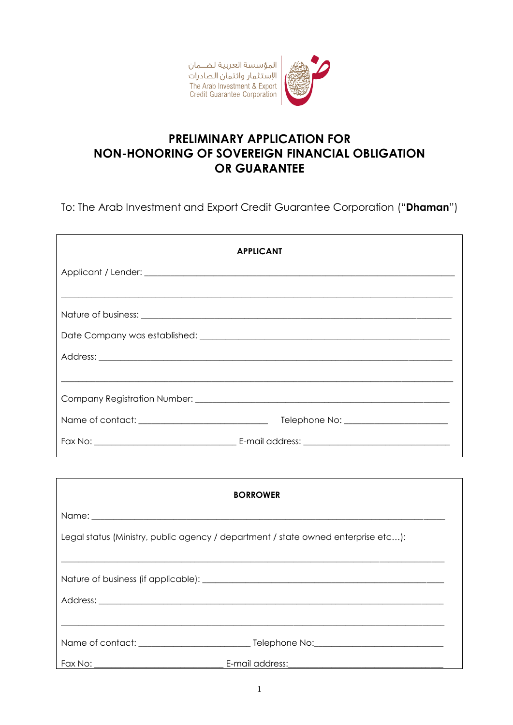المؤسسة العربية لضــمان ر - ر<br>الإستثمار وائتمان الصادرات The Arab Investment & Export<br>Credit Guarantee Corporation



## **PRELIMINARY APPLICATION FOR NON-HONORING OF SOVEREIGN FINANCIAL OBLIGATION** OR GUARANTEE

To: The Arab Investment and Export Credit Guarantee Corporation ("Dhaman")

| <b>APPLICANT</b>                                                                                                      |
|-----------------------------------------------------------------------------------------------------------------------|
|                                                                                                                       |
|                                                                                                                       |
|                                                                                                                       |
|                                                                                                                       |
|                                                                                                                       |
| <u> 1989 - Johann Stoff, deutscher Stoff, der Stoff, der Stoff, der Stoff, der Stoff, der Stoff, der Stoff, der S</u> |
|                                                                                                                       |
|                                                                                                                       |
|                                                                                                                       |
|                                                                                                                       |
|                                                                                                                       |

| <b>BORROWER</b>                                                                   |  |
|-----------------------------------------------------------------------------------|--|
|                                                                                   |  |
| Legal status (Ministry, public agency / department / state owned enterprise etc): |  |
|                                                                                   |  |
|                                                                                   |  |
|                                                                                   |  |
|                                                                                   |  |
|                                                                                   |  |
|                                                                                   |  |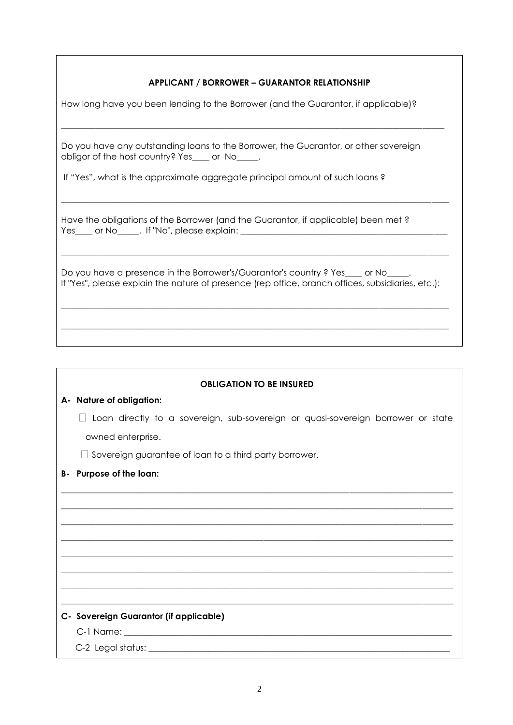## **APPLICANT / BORROWER – GUARANTOR RELATIONSHIP**

 $\_$  ,  $\_$  ,  $\_$  ,  $\_$  ,  $\_$  ,  $\_$  ,  $\_$  ,  $\_$  ,  $\_$  ,  $\_$  ,  $\_$  ,  $\_$  ,  $\_$  ,  $\_$  ,  $\_$  ,  $\_$  ,  $\_$  ,  $\_$  ,  $\_$  ,  $\_$  ,  $\_$  ,  $\_$  ,  $\_$  ,  $\_$  ,  $\_$  ,  $\_$  ,  $\_$  ,  $\_$  ,  $\_$  ,  $\_$  ,  $\_$  ,  $\_$  ,  $\_$  ,  $\_$  ,  $\_$  ,  $\_$  ,  $\_$  ,

 $\_$  ,  $\_$  ,  $\_$  ,  $\_$  ,  $\_$  ,  $\_$  ,  $\_$  ,  $\_$  ,  $\_$  ,  $\_$  ,  $\_$  ,  $\_$  ,  $\_$  ,  $\_$  ,  $\_$  ,  $\_$  ,  $\_$  ,  $\_$  ,  $\_$  ,  $\_$  ,  $\_$  ,  $\_$  ,  $\_$  ,  $\_$  ,  $\_$  ,  $\_$  ,  $\_$  ,  $\_$  ,  $\_$  ,  $\_$  ,  $\_$  ,  $\_$  ,  $\_$  ,  $\_$  ,  $\_$  ,  $\_$  ,  $\_$  ,

How long have you been lending to the Borrower (and the Guarantor, if applicable)?

Do you have any outstanding loans to the Borrower, the Guarantor, or other sovereign obligor of the host country? Yes or No.

If "Yes", what is the approximate aggregate principal amount of such loans ?

Have the obligations of the Borrower (and the Guarantor, if applicable) been met ? Yes\_\_\_\_ or No\_\_\_\_\_. If "No", please explain:

Do you have a presence in the Borrower's/Guarantor's country ? Yes \_\_\_\_\_ or No\_\_ If "Yes", please explain the nature of presence (rep office, branch offices, subsidiaries, etc.):

\_\_\_\_\_\_\_\_\_\_\_\_\_\_\_\_\_\_\_\_\_\_\_\_\_\_\_\_\_\_\_\_\_\_\_\_\_\_\_\_\_\_\_\_\_\_\_\_\_\_\_\_\_\_\_\_\_\_\_\_\_\_\_\_\_\_\_\_\_\_\_\_\_\_\_\_\_\_\_\_\_\_\_\_\_\_\_\_\_\_

**\_\_\_\_\_\_\_\_\_\_\_\_\_\_\_\_\_\_\_\_\_\_\_\_\_\_\_\_\_\_\_\_\_\_\_\_\_\_\_\_\_\_\_\_\_\_\_\_\_\_\_\_\_\_\_\_\_\_\_\_\_\_\_\_\_\_\_\_\_\_\_\_\_\_\_\_\_\_\_\_\_\_\_\_\_\_\_\_\_\_**

\_\_\_\_\_\_\_\_\_\_\_\_\_\_\_\_\_\_\_\_\_\_\_\_\_\_\_\_\_\_\_\_\_\_\_\_\_\_\_\_\_\_\_\_\_\_\_\_\_\_\_\_\_\_\_\_\_\_\_\_\_\_\_\_\_\_\_\_\_\_\_\_\_\_\_\_\_\_\_\_\_\_\_\_\_\_\_\_\_\_

| <b>OBLIGATION TO BE INSURED</b> |                                                                                  |  |
|---------------------------------|----------------------------------------------------------------------------------|--|
|                                 | A- Nature of obligation:                                                         |  |
|                                 | Loan directly to a sovereign, sub-sovereign or quasi-sovereign borrower or state |  |
|                                 | owned enterprise.                                                                |  |
|                                 | $\Box$ Sovereign guarantee of loan to a third party borrower.                    |  |
| В-                              | Purpose of the loan:                                                             |  |
|                                 |                                                                                  |  |
|                                 |                                                                                  |  |
|                                 |                                                                                  |  |
|                                 |                                                                                  |  |
|                                 |                                                                                  |  |
|                                 |                                                                                  |  |
|                                 |                                                                                  |  |
|                                 | C- Sovereign Guarantor (if applicable)                                           |  |
|                                 |                                                                                  |  |
|                                 |                                                                                  |  |
|                                 |                                                                                  |  |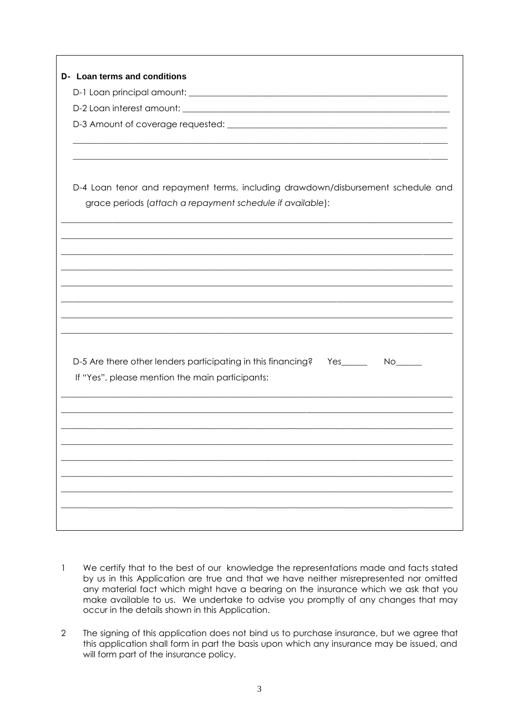| D- Loan terms and conditions                                                           |  |  |
|----------------------------------------------------------------------------------------|--|--|
|                                                                                        |  |  |
|                                                                                        |  |  |
|                                                                                        |  |  |
|                                                                                        |  |  |
|                                                                                        |  |  |
|                                                                                        |  |  |
| D-4 Loan tenor and repayment terms, including drawdown/disbursement schedule and       |  |  |
| grace periods (attach a repayment schedule if available):                              |  |  |
|                                                                                        |  |  |
|                                                                                        |  |  |
|                                                                                        |  |  |
|                                                                                        |  |  |
|                                                                                        |  |  |
|                                                                                        |  |  |
|                                                                                        |  |  |
|                                                                                        |  |  |
|                                                                                        |  |  |
| D-5 Are there other lenders participating in this financing?<br>Yes________  No_______ |  |  |
| If "Yes", please mention the main participants:                                        |  |  |
|                                                                                        |  |  |
|                                                                                        |  |  |
|                                                                                        |  |  |
|                                                                                        |  |  |
|                                                                                        |  |  |
|                                                                                        |  |  |
|                                                                                        |  |  |
|                                                                                        |  |  |
|                                                                                        |  |  |

- 1 We certify that to the best of our knowledge the representations made and facts stated by us in this Application are true and that we have neither misrepresented nor omitted any material fact which might have a bearing on the insurance which we ask that you make available to us. We undertake to advise you promptly of any changes that may occur in the details shown in this Application.
- 2 The signing of this application does not bind us to purchase insurance, but we agree that this application shall form in part the basis upon which any insurance may be issued, and will form part of the insurance policy.